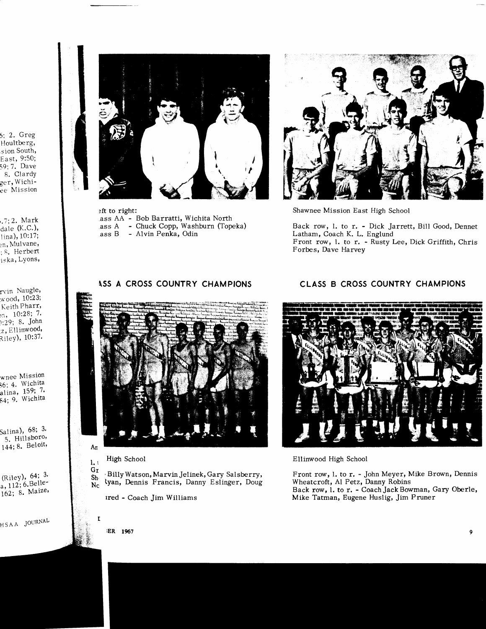6; 2. Greg Houltberg, sion South, East, 9:50; 59; 7. Dave 8. Clardy ger, Wichiee Mission

.7; 2. Mark dale (K.C.), lina), 10:17; <sub>en</sub>, Mulvane, s. Herbert<br>iska, Lyons,

rvin Naugle, wood, 10:23; Keith Pharr,  $_{27}$ , 10:28; 7. 1:29; 8. John z, Ellinwood, Riley), 10:37.

wnee Mission 36; 4. Wichita alina, 159; 7.<br>84; 9. Wichita

Salina), 68; 3. 5. Hillsboro, 144; 8. Beloit,

(Riley), 64; 3. a, 112; 6. Belle-162; 8. Maize,

HSAA JOURNAL



eft to right: ass AA - Bob Barratti, Wichita North ass A - Chuck Copp, Washburn (Topeka) ass B - Alvin Penka, Odin



Shawnee Mission East High School

Back row, l. to r. - Dick Jarrett, Bill Good, Dennet Latham, Coach K. L. Englund Front row, l. to r. - Rusty Lee, Dick Griffith, Chris Forbes, Dave Harvey

# ASS A CROSS COUNTRY CHAMPIONS



High School  $1.1$ 

Gr Billy Watson, Marvin Jelinek, Gary Salsberry,  $Sh_1$ lyan, Dennis Francis, Danny Eslinger, Doug  $N<sub>c</sub>$ 

ired - Coach Jim Williams

# CLASS B CROSS COUNTRY CHAMPIONS



## Ellinwood High School

Front row, l. to r. - John Meyer, Mike Brown, Dennis Wheatcroft, Al Petz, Danny Robins

Back row, l. to r. - Coach Jack Bowman, Gary Oberle, Mike Tatman, Eugene Huslig, Jim Pruner

**IER** 1967

 $\boldsymbol{9}$